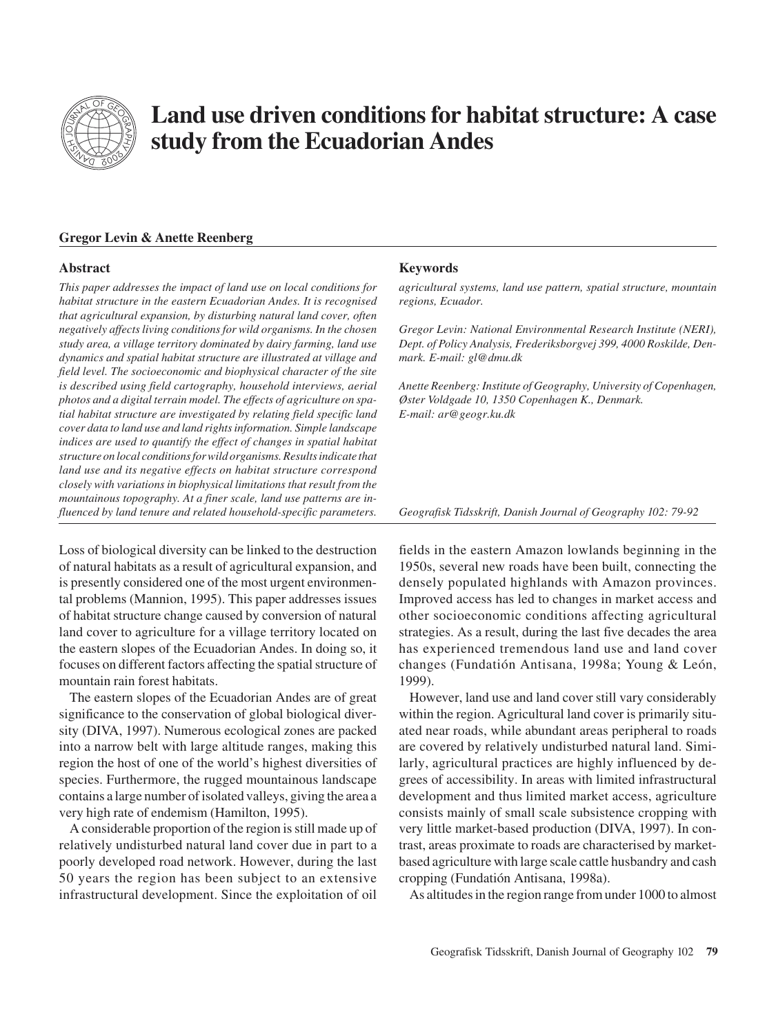

# **Land use driven conditions for habitat structure: A case study from the Ecuadorian Andes**

# **Gregor Levin & Anette Reenberg**

## **Abstract**

*This paper addresses the impact of land use on local conditions for habitat structure in the eastern Ecuadorian Andes. It is recognised that agricultural expansion, by disturbing natural land cover, often negatively affects living conditions for wild organisms. In the chosen study area, a village territory dominated by dairy farming, land use dynamics and spatial habitat structure are illustrated at village and field level. The socioeconomic and biophysical character of the site is described using field cartography, household interviews, aerial photos and a digital terrain model. The effects of agriculture on spatial habitat structure are investigated by relating field specific land cover data to land use and land rights information. Simple landscape indices are used to quantify the effect of changes in spatial habitat structure on local conditions for wild organisms. Results indicate that land use and its negative effects on habitat structure correspond closely with variations in biophysical limitations that result from the mountainous topography. At a finer scale, land use patterns are influenced by land tenure and related household-specific parameters.*

Loss of biological diversity can be linked to the destruction of natural habitats as a result of agricultural expansion, and is presently considered one of the most urgent environmental problems (Mannion, 1995). This paper addresses issues of habitat structure change caused by conversion of natural land cover to agriculture for a village territory located on the eastern slopes of the Ecuadorian Andes. In doing so, it focuses on different factors affecting the spatial structure of mountain rain forest habitats.

The eastern slopes of the Ecuadorian Andes are of great significance to the conservation of global biological diversity (DIVA, 1997). Numerous ecological zones are packed into a narrow belt with large altitude ranges, making this region the host of one of the world's highest diversities of species. Furthermore, the rugged mountainous landscape contains a large number of isolated valleys, giving the area a very high rate of endemism (Hamilton, 1995).

A considerable proportion of the region is still made up of relatively undisturbed natural land cover due in part to a poorly developed road network. However, during the last 50 years the region has been subject to an extensive infrastructural development. Since the exploitation of oil

## **Keywords**

*agricultural systems, land use pattern, spatial structure, mountain regions, Ecuador.*

*Gregor Levin: National Environmental Research Institute (NERI), Dept. of Policy Analysis, Frederiksborgvej 399, 4000 Roskilde, Denmark. E-mail: gl@dmu.dk*

*Anette Reenberg: Institute of Geography, University of Copenhagen, Øster Voldgade 10, 1350 Copenhagen K., Denmark. E-mail: ar@geogr.ku.dk*

*Geografisk Tidsskrift, Danish Journal of Geography 102: 79-92*

fields in the eastern Amazon lowlands beginning in the 1950s, several new roads have been built, connecting the densely populated highlands with Amazon provinces. Improved access has led to changes in market access and other socioeconomic conditions affecting agricultural strategies. As a result, during the last five decades the area has experienced tremendous land use and land cover changes (Fundatión Antisana, 1998a; Young & León, 1999).

However, land use and land cover still vary considerably within the region. Agricultural land cover is primarily situated near roads, while abundant areas peripheral to roads are covered by relatively undisturbed natural land. Similarly, agricultural practices are highly influenced by degrees of accessibility. In areas with limited infrastructural development and thus limited market access, agriculture consists mainly of small scale subsistence cropping with very little market-based production (DIVA, 1997). In contrast, areas proximate to roads are characterised by marketbased agriculture with large scale cattle husbandry and cash cropping (Fundatión Antisana, 1998a).

As altitudes in the region range from under 1000 to almost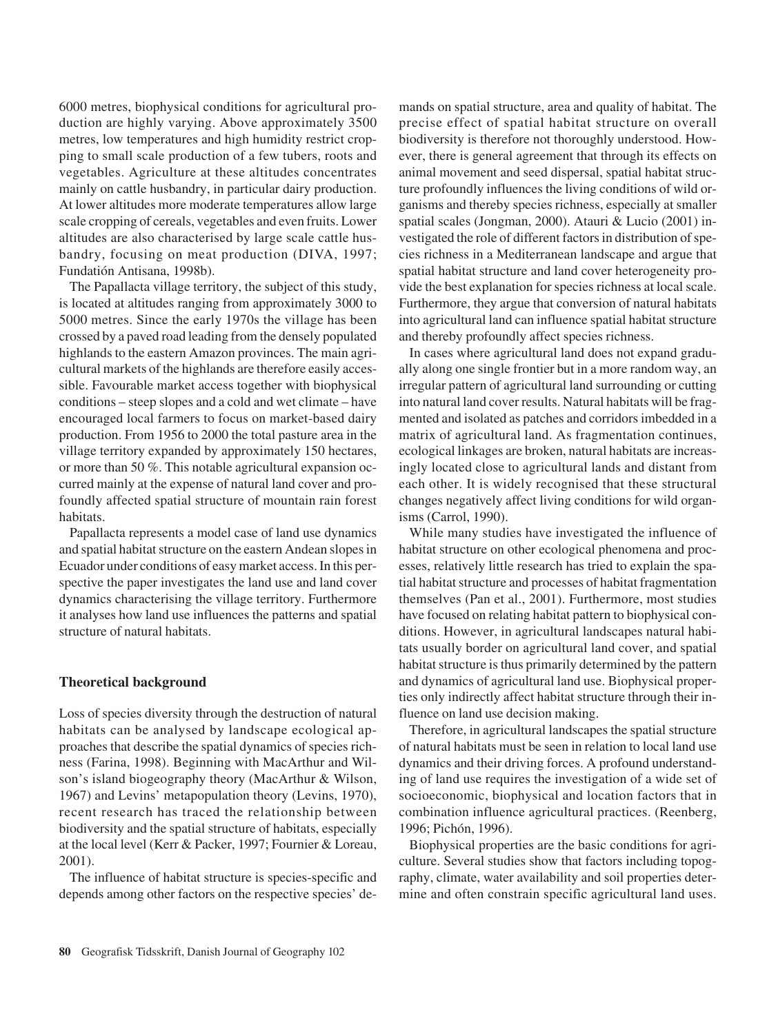6000 metres, biophysical conditions for agricultural production are highly varying. Above approximately 3500 metres, low temperatures and high humidity restrict cropping to small scale production of a few tubers, roots and vegetables. Agriculture at these altitudes concentrates mainly on cattle husbandry, in particular dairy production. At lower altitudes more moderate temperatures allow large scale cropping of cereals, vegetables and even fruits. Lower altitudes are also characterised by large scale cattle husbandry, focusing on meat production (DIVA, 1997; Fundatión Antisana, 1998b).

The Papallacta village territory, the subject of this study, is located at altitudes ranging from approximately 3000 to 5000 metres. Since the early 1970s the village has been crossed by a paved road leading from the densely populated highlands to the eastern Amazon provinces. The main agricultural markets of the highlands are therefore easily accessible. Favourable market access together with biophysical conditions – steep slopes and a cold and wet climate – have encouraged local farmers to focus on market-based dairy production. From 1956 to 2000 the total pasture area in the village territory expanded by approximately 150 hectares, or more than 50 %. This notable agricultural expansion occurred mainly at the expense of natural land cover and profoundly affected spatial structure of mountain rain forest habitats.

Papallacta represents a model case of land use dynamics and spatial habitat structure on the eastern Andean slopes in Ecuador under conditions of easy market access. In this perspective the paper investigates the land use and land cover dynamics characterising the village territory. Furthermore it analyses how land use influences the patterns and spatial structure of natural habitats.

# **Theoretical background**

Loss of species diversity through the destruction of natural habitats can be analysed by landscape ecological approaches that describe the spatial dynamics of species richness (Farina, 1998). Beginning with MacArthur and Wilson's island biogeography theory (MacArthur & Wilson, 1967) and Levins' metapopulation theory (Levins, 1970), recent research has traced the relationship between biodiversity and the spatial structure of habitats, especially at the local level (Kerr & Packer, 1997; Fournier & Loreau, 2001).

The influence of habitat structure is species-specific and depends among other factors on the respective species' demands on spatial structure, area and quality of habitat. The precise effect of spatial habitat structure on overall biodiversity is therefore not thoroughly understood. However, there is general agreement that through its effects on animal movement and seed dispersal, spatial habitat structure profoundly influences the living conditions of wild organisms and thereby species richness, especially at smaller spatial scales (Jongman, 2000). Atauri & Lucio (2001) investigated the role of different factors in distribution of species richness in a Mediterranean landscape and argue that spatial habitat structure and land cover heterogeneity provide the best explanation for species richness at local scale. Furthermore, they argue that conversion of natural habitats into agricultural land can influence spatial habitat structure and thereby profoundly affect species richness.

In cases where agricultural land does not expand gradually along one single frontier but in a more random way, an irregular pattern of agricultural land surrounding or cutting into natural land cover results. Natural habitats will be fragmented and isolated as patches and corridors imbedded in a matrix of agricultural land. As fragmentation continues, ecological linkages are broken, natural habitats are increasingly located close to agricultural lands and distant from each other. It is widely recognised that these structural changes negatively affect living conditions for wild organisms (Carrol, 1990).

While many studies have investigated the influence of habitat structure on other ecological phenomena and processes, relatively little research has tried to explain the spatial habitat structure and processes of habitat fragmentation themselves (Pan et al., 2001). Furthermore, most studies have focused on relating habitat pattern to biophysical conditions. However, in agricultural landscapes natural habitats usually border on agricultural land cover, and spatial habitat structure is thus primarily determined by the pattern and dynamics of agricultural land use. Biophysical properties only indirectly affect habitat structure through their influence on land use decision making.

Therefore, in agricultural landscapes the spatial structure of natural habitats must be seen in relation to local land use dynamics and their driving forces. A profound understanding of land use requires the investigation of a wide set of socioeconomic, biophysical and location factors that in combination influence agricultural practices. (Reenberg, 1996; Pichón, 1996).

Biophysical properties are the basic conditions for agriculture. Several studies show that factors including topography, climate, water availability and soil properties determine and often constrain specific agricultural land uses.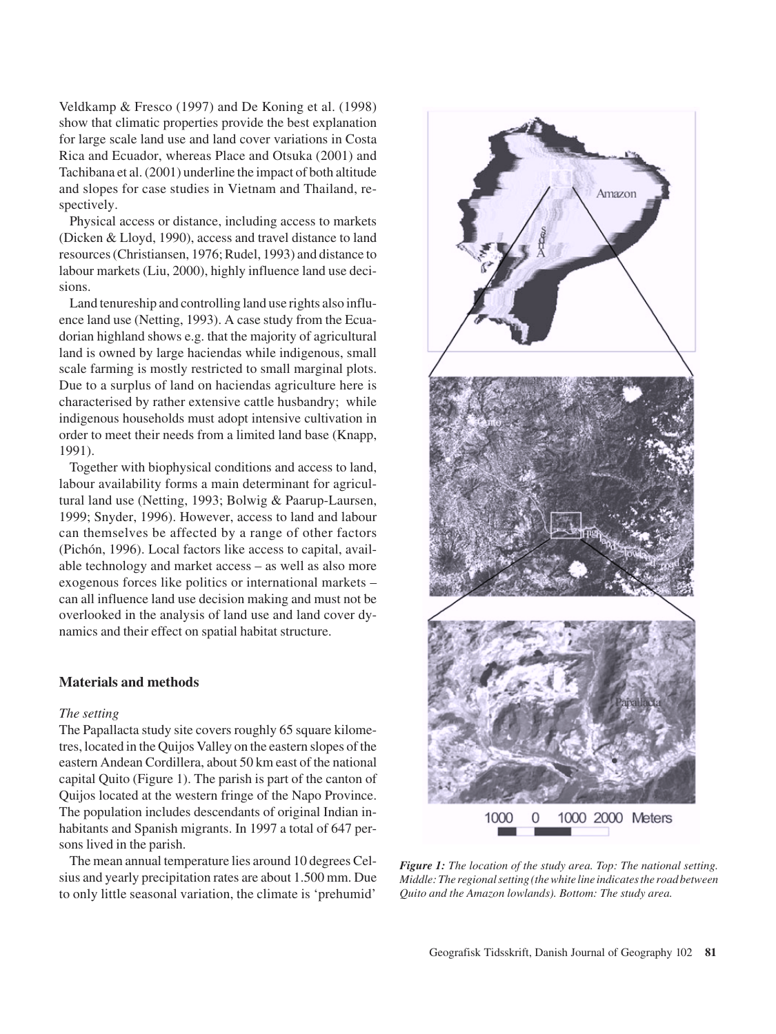Veldkamp & Fresco (1997) and De Koning et al. (1998) show that climatic properties provide the best explanation for large scale land use and land cover variations in Costa Rica and Ecuador, whereas Place and Otsuka (2001) and Tachibana et al. (2001) underline the impact of both altitude and slopes for case studies in Vietnam and Thailand, respectively.

Physical access or distance, including access to markets (Dicken & Lloyd, 1990), access and travel distance to land resources (Christiansen, 1976; Rudel, 1993) and distance to labour markets (Liu, 2000), highly influence land use decisions.

Land tenureship and controlling land use rights also influence land use (Netting, 1993). A case study from the Ecuadorian highland shows e.g. that the majority of agricultural land is owned by large haciendas while indigenous, small scale farming is mostly restricted to small marginal plots. Due to a surplus of land on haciendas agriculture here is characterised by rather extensive cattle husbandry; while indigenous households must adopt intensive cultivation in order to meet their needs from a limited land base (Knapp, 1991).

Together with biophysical conditions and access to land, labour availability forms a main determinant for agricultural land use (Netting, 1993; Bolwig & Paarup-Laursen, 1999; Snyder, 1996). However, access to land and labour can themselves be affected by a range of other factors (Pichón, 1996). Local factors like access to capital, available technology and market access – as well as also more exogenous forces like politics or international markets – can all influence land use decision making and must not be overlooked in the analysis of land use and land cover dynamics and their effect on spatial habitat structure.

# **Materials and methods**

#### *The setting*

The Papallacta study site covers roughly 65 square kilometres, located in the Quijos Valley on the eastern slopes of the eastern Andean Cordillera, about 50 km east of the national capital Quito (Figure 1). The parish is part of the canton of Quijos located at the western fringe of the Napo Province. The population includes descendants of original Indian inhabitants and Spanish migrants. In 1997 a total of 647 persons lived in the parish.

The mean annual temperature lies around 10 degrees Celsius and yearly precipitation rates are about 1.500 mm. Due to only little seasonal variation, the climate is 'prehumid'



*Figure 1: The location of the study area. Top: The national setting. Middle: The regional setting (the white line indicates the road between Quito and the Amazon lowlands). Bottom: The study area.*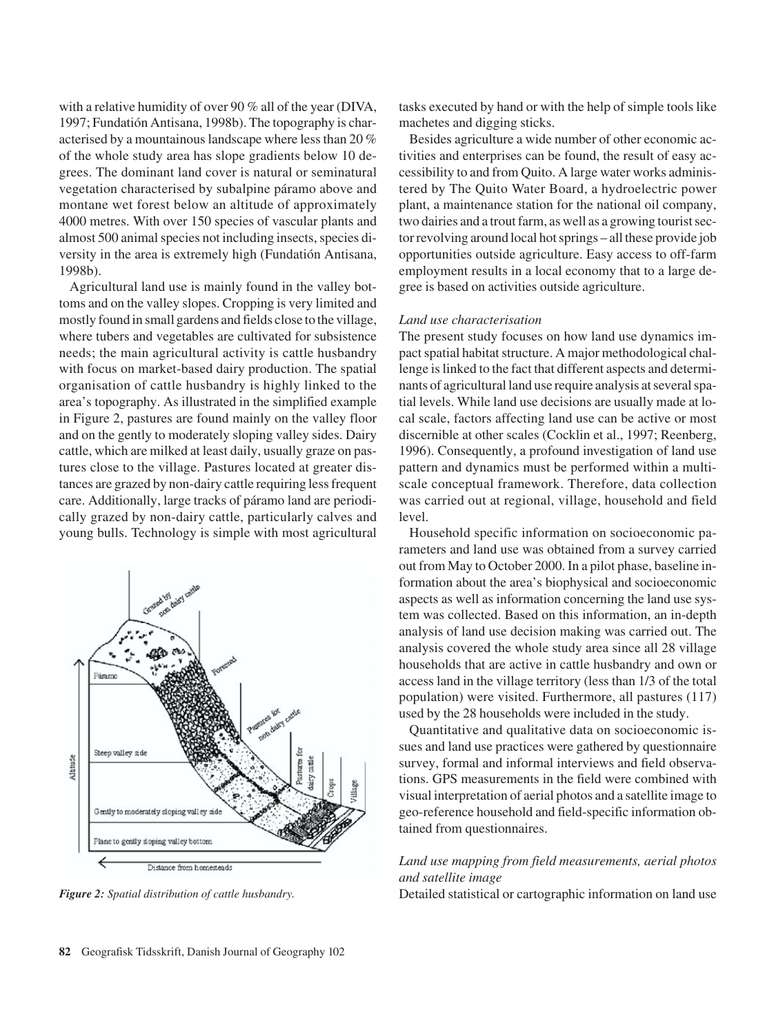with a relative humidity of over 90 % all of the year (DIVA, 1997; Fundatión Antisana, 1998b). The topography is characterised by a mountainous landscape where less than 20 % of the whole study area has slope gradients below 10 degrees. The dominant land cover is natural or seminatural vegetation characterised by subalpine páramo above and montane wet forest below an altitude of approximately 4000 metres. With over 150 species of vascular plants and almost 500 animal species not including insects, species diversity in the area is extremely high (Fundatión Antisana, 1998b).

Agricultural land use is mainly found in the valley bottoms and on the valley slopes. Cropping is very limited and mostly found in small gardens and fields close to the village, where tubers and vegetables are cultivated for subsistence needs; the main agricultural activity is cattle husbandry with focus on market-based dairy production. The spatial organisation of cattle husbandry is highly linked to the area's topography. As illustrated in the simplified example in Figure 2, pastures are found mainly on the valley floor and on the gently to moderately sloping valley sides. Dairy cattle, which are milked at least daily, usually graze on pastures close to the village. Pastures located at greater distances are grazed by non-dairy cattle requiring less frequent care. Additionally, large tracks of páramo land are periodically grazed by non-dairy cattle, particularly calves and young bulls. Technology is simple with most agricultural



tasks executed by hand or with the help of simple tools like machetes and digging sticks.

Besides agriculture a wide number of other economic activities and enterprises can be found, the result of easy accessibility to and from Quito. A large water works administered by The Quito Water Board, a hydroelectric power plant, a maintenance station for the national oil company, two dairies and a trout farm, as well as a growing tourist sector revolving around local hot springs – all these provide job opportunities outside agriculture. Easy access to off-farm employment results in a local economy that to a large degree is based on activities outside agriculture.

## *Land use characterisation*

The present study focuses on how land use dynamics impact spatial habitat structure. A major methodological challenge is linked to the fact that different aspects and determinants of agricultural land use require analysis at several spatial levels. While land use decisions are usually made at local scale, factors affecting land use can be active or most discernible at other scales (Cocklin et al., 1997; Reenberg, 1996). Consequently, a profound investigation of land use pattern and dynamics must be performed within a multiscale conceptual framework. Therefore, data collection was carried out at regional, village, household and field level.

Household specific information on socioeconomic parameters and land use was obtained from a survey carried out from May to October 2000. In a pilot phase, baseline information about the area's biophysical and socioeconomic aspects as well as information concerning the land use system was collected. Based on this information, an in-depth analysis of land use decision making was carried out. The analysis covered the whole study area since all 28 village households that are active in cattle husbandry and own or access land in the village territory (less than 1/3 of the total population) were visited. Furthermore, all pastures (117) used by the 28 households were included in the study.

Quantitative and qualitative data on socioeconomic issues and land use practices were gathered by questionnaire survey, formal and informal interviews and field observations. GPS measurements in the field were combined with visual interpretation of aerial photos and a satellite image to geo-reference household and field-specific information obtained from questionnaires.

# *Land use mapping from field measurements, aerial photos and satellite image*

*Figure 2: Spatial distribution of cattle husbandry.* Detailed statistical or cartographic information on land use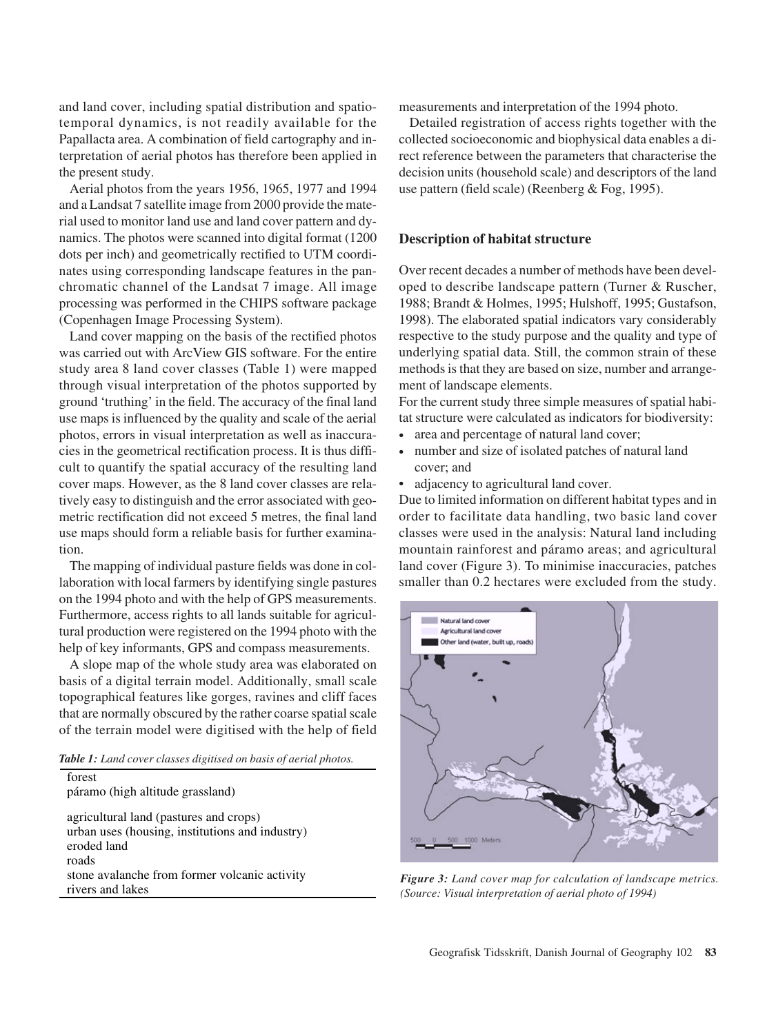and land cover, including spatial distribution and spatiotemporal dynamics, is not readily available for the Papallacta area. A combination of field cartography and interpretation of aerial photos has therefore been applied in the present study.

Aerial photos from the years 1956, 1965, 1977 and 1994 and a Landsat 7 satellite image from 2000 provide the material used to monitor land use and land cover pattern and dynamics. The photos were scanned into digital format (1200 dots per inch) and geometrically rectified to UTM coordinates using corresponding landscape features in the panchromatic channel of the Landsat 7 image. All image processing was performed in the CHIPS software package (Copenhagen Image Processing System).

Land cover mapping on the basis of the rectified photos was carried out with ArcView GIS software. For the entire study area 8 land cover classes (Table 1) were mapped through visual interpretation of the photos supported by ground 'truthing' in the field. The accuracy of the final land use maps is influenced by the quality and scale of the aerial photos, errors in visual interpretation as well as inaccuracies in the geometrical rectification process. It is thus difficult to quantify the spatial accuracy of the resulting land cover maps. However, as the 8 land cover classes are relatively easy to distinguish and the error associated with geometric rectification did not exceed 5 metres, the final land use maps should form a reliable basis for further examination.

The mapping of individual pasture fields was done in collaboration with local farmers by identifying single pastures on the 1994 photo and with the help of GPS measurements. Furthermore, access rights to all lands suitable for agricultural production were registered on the 1994 photo with the help of key informants, GPS and compass measurements.

A slope map of the whole study area was elaborated on basis of a digital terrain model. Additionally, small scale topographical features like gorges, ravines and cliff faces that are normally obscured by the rather coarse spatial scale of the terrain model were digitised with the help of field

*Table 1: Land cover classes digitised on basis of aerial photos.*

| forest                                                                                                   |
|----------------------------------------------------------------------------------------------------------|
| páramo (high altitude grassland)                                                                         |
| agricultural land (pastures and crops)<br>urban uses (housing, institutions and industry)<br>eroded land |
| roads                                                                                                    |
| stone avalanche from former volcanic activity                                                            |
| rivers and lakes                                                                                         |

measurements and interpretation of the 1994 photo.

Detailed registration of access rights together with the collected socioeconomic and biophysical data enables a direct reference between the parameters that characterise the decision units (household scale) and descriptors of the land use pattern (field scale) (Reenberg & Fog, 1995).

#### **Description of habitat structure**

Over recent decades a number of methods have been developed to describe landscape pattern (Turner & Ruscher, 1988; Brandt & Holmes, 1995; Hulshoff, 1995; Gustafson, 1998). The elaborated spatial indicators vary considerably respective to the study purpose and the quality and type of underlying spatial data. Still, the common strain of these methods is that they are based on size, number and arrangement of landscape elements.

For the current study three simple measures of spatial habitat structure were calculated as indicators for biodiversity:

- area and percentage of natural land cover;
- number and size of isolated patches of natural land cover; and
- adjacency to agricultural land cover.

Due to limited information on different habitat types and in order to facilitate data handling, two basic land cover classes were used in the analysis: Natural land including mountain rainforest and páramo areas; and agricultural land cover (Figure 3). To minimise inaccuracies, patches smaller than 0.2 hectares were excluded from the study.



*Figure 3: Land cover map for calculation of landscape metrics. (Source: Visual interpretation of aerial photo of 1994)*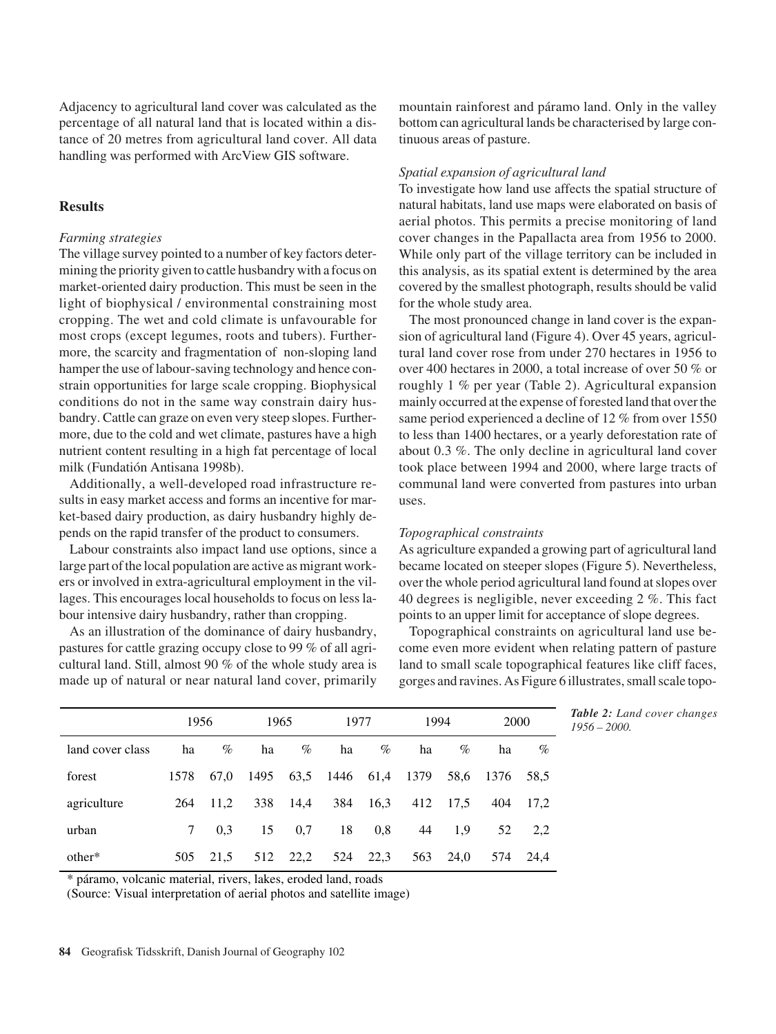Adjacency to agricultural land cover was calculated as the percentage of all natural land that is located within a distance of 20 metres from agricultural land cover. All data handling was performed with ArcView GIS software.

# **Results**

### *Farming strategies*

The village survey pointed to a number of key factors determining the priority given to cattle husbandry with a focus on market-oriented dairy production. This must be seen in the light of biophysical / environmental constraining most cropping. The wet and cold climate is unfavourable for most crops (except legumes, roots and tubers). Furthermore, the scarcity and fragmentation of non-sloping land hamper the use of labour-saving technology and hence constrain opportunities for large scale cropping. Biophysical conditions do not in the same way constrain dairy husbandry. Cattle can graze on even very steep slopes. Furthermore, due to the cold and wet climate, pastures have a high nutrient content resulting in a high fat percentage of local milk (Fundatión Antisana 1998b).

Additionally, a well-developed road infrastructure results in easy market access and forms an incentive for market-based dairy production, as dairy husbandry highly depends on the rapid transfer of the product to consumers.

Labour constraints also impact land use options, since a large part of the local population are active as migrant workers or involved in extra-agricultural employment in the villages. This encourages local households to focus on less labour intensive dairy husbandry, rather than cropping.

As an illustration of the dominance of dairy husbandry, pastures for cattle grazing occupy close to 99 % of all agricultural land. Still, almost 90 % of the whole study area is made up of natural or near natural land cover, primarily mountain rainforest and páramo land. Only in the valley bottom can agricultural lands be characterised by large continuous areas of pasture.

#### *Spatial expansion of agricultural land*

To investigate how land use affects the spatial structure of natural habitats, land use maps were elaborated on basis of aerial photos. This permits a precise monitoring of land cover changes in the Papallacta area from 1956 to 2000. While only part of the village territory can be included in this analysis, as its spatial extent is determined by the area covered by the smallest photograph, results should be valid for the whole study area.

The most pronounced change in land cover is the expansion of agricultural land (Figure 4). Over 45 years, agricultural land cover rose from under 270 hectares in 1956 to over 400 hectares in 2000, a total increase of over 50 % or roughly 1 % per year (Table 2). Agricultural expansion mainly occurred at the expense of forested land that over the same period experienced a decline of 12 % from over 1550 to less than 1400 hectares, or a yearly deforestation rate of about 0.3 %. The only decline in agricultural land cover took place between 1994 and 2000, where large tracts of communal land were converted from pastures into urban uses.

## *Topographical constraints*

As agriculture expanded a growing part of agricultural land became located on steeper slopes (Figure 5). Nevertheless, over the whole period agricultural land found at slopes over 40 degrees is negligible, never exceeding 2 %. This fact points to an upper limit for acceptance of slope degrees.

Topographical constraints on agricultural land use become even more evident when relating pattern of pasture land to small scale topographical features like cliff faces, gorges and ravines. As Figure 6 illustrates, small scale topo-

|                  | 1956 |      | 1965 |      | 1977                |      | 1994 |      | 2000      |          |
|------------------|------|------|------|------|---------------------|------|------|------|-----------|----------|
| land cover class | ha   | $\%$ | ha   | $\%$ | ha                  | $\%$ | ha   | $\%$ | ha        | $\%$     |
| forest           | 1578 | 67,0 | 1495 |      | 63,5 1446 61,4 1379 |      |      | 58,6 | 1376 58.5 |          |
| agriculture      | 264  | 11.2 | 338  | 14,4 | 384                 | 16,3 | 412  | 17.5 |           | 404 17.2 |
| urban            |      | 0.3  | 15   | 0,7  | 18                  | 0,8  | 44   | -1.9 | 52        | 2.2      |
| other*           | 505  | 21.5 | 512  | 22,2 | 524                 | 22,3 | 563  | 24,0 |           | 574 24.4 |

*Table 2: Land cover changes*

\* páramo, volcanic material, rivers, lakes, eroded land, roads

(Source: Visual interpretation of aerial photos and satellite image)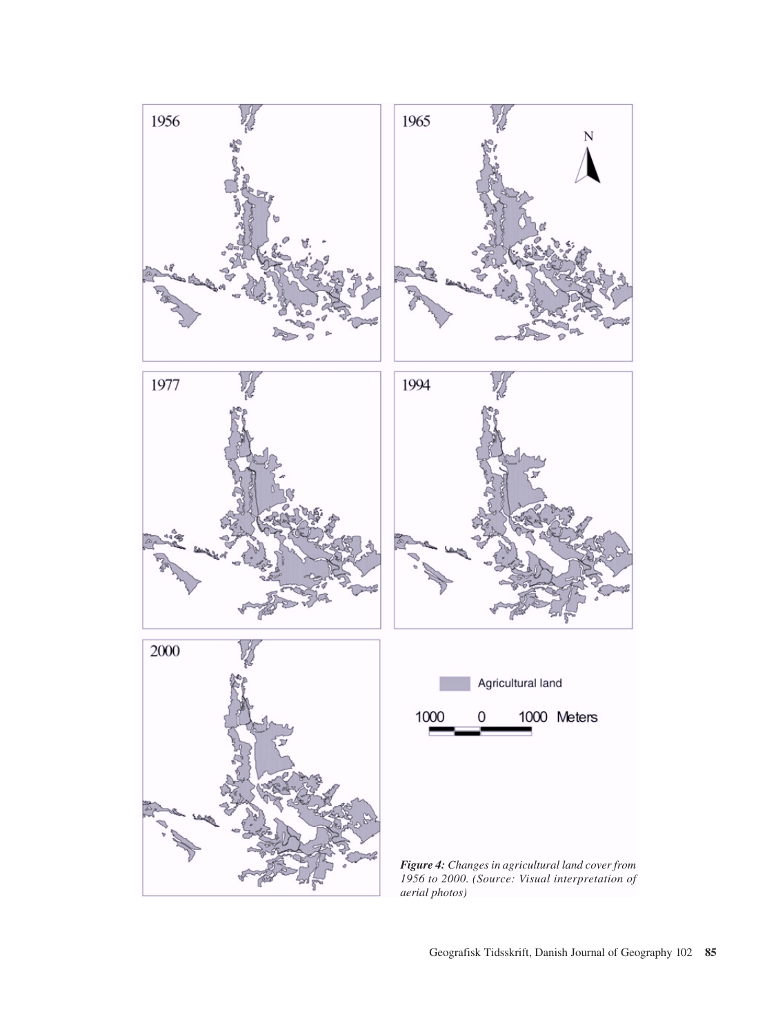

Geografisk Tidsskrift, Danish Journal of Geography 102 **<sup>85</sup>**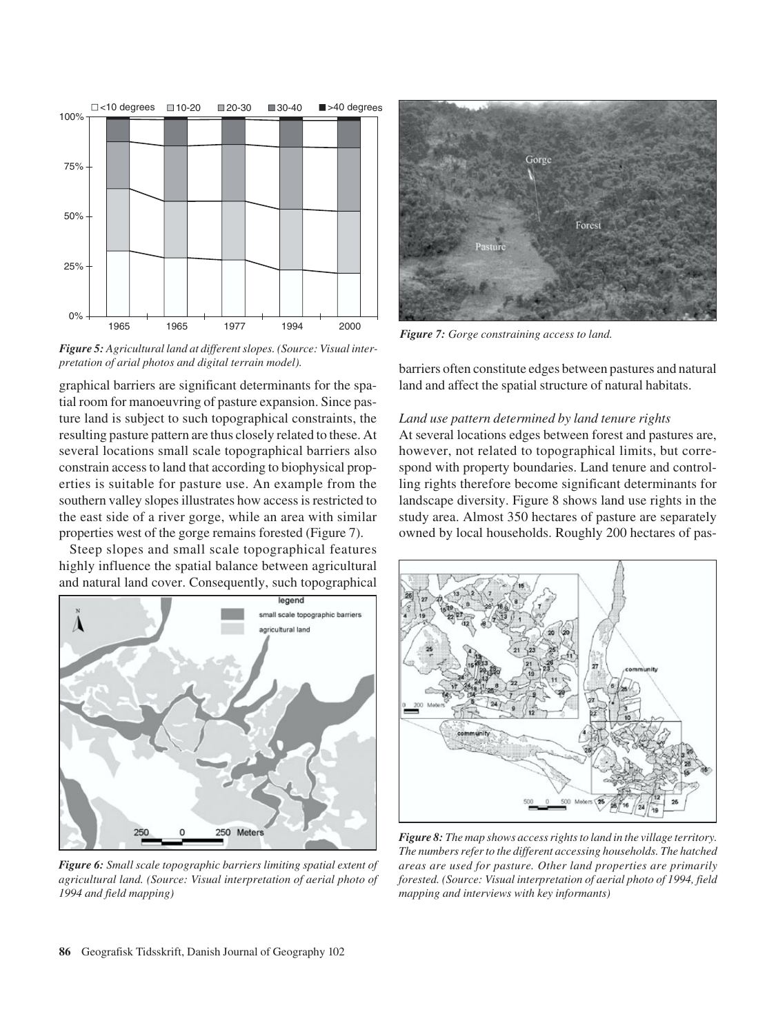

*Figure 5: Agricultural land at different slopes. (Source: Visual interpretation of arial photos and digital terrain model).*

graphical barriers are significant determinants for the spatial room for manoeuvring of pasture expansion. Since pasture land is subject to such topographical constraints, the resulting pasture pattern are thus closely related to these. At several locations small scale topographical barriers also constrain access to land that according to biophysical properties is suitable for pasture use. An example from the southern valley slopes illustrates how access is restricted to the east side of a river gorge, while an area with similar properties west of the gorge remains forested (Figure 7).

Steep slopes and small scale topographical features highly influence the spatial balance between agricultural and natural land cover. Consequently, such topographical



*Figure 6: Small scale topographic barriers limiting spatial extent of agricultural land. (Source: Visual interpretation of aerial photo of 1994 and field mapping)*



*Figure 7: Gorge constraining access to land.*

barriers often constitute edges between pastures and natural land and affect the spatial structure of natural habitats.

# *Land use pattern determined by land tenure rights*

At several locations edges between forest and pastures are, however, not related to topographical limits, but correspond with property boundaries. Land tenure and controlling rights therefore become significant determinants for landscape diversity. Figure 8 shows land use rights in the study area. Almost 350 hectares of pasture are separately owned by local households. Roughly 200 hectares of pas-



*Figure 8: The map shows access rights to land in the village territory. The numbers refer to the different accessing households. The hatched areas are used for pasture. Other land properties are primarily forested. (Source: Visual interpretation of aerial photo of 1994, field mapping and interviews with key informants)*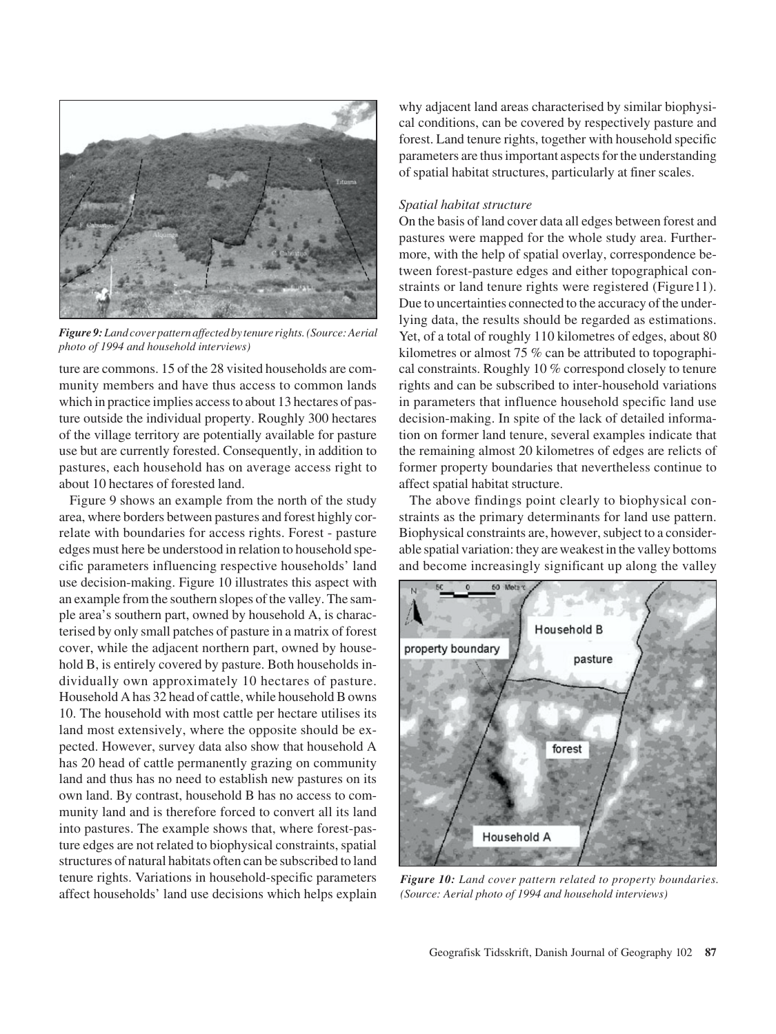

*Figure 9: Land cover pattern affected by tenure rights. (Source: Aerial photo of 1994 and household interviews)*

ture are commons. 15 of the 28 visited households are community members and have thus access to common lands which in practice implies access to about 13 hectares of pasture outside the individual property. Roughly 300 hectares of the village territory are potentially available for pasture use but are currently forested. Consequently, in addition to pastures, each household has on average access right to about 10 hectares of forested land.

Figure 9 shows an example from the north of the study area, where borders between pastures and forest highly correlate with boundaries for access rights. Forest - pasture edges must here be understood in relation to household specific parameters influencing respective households' land use decision-making. Figure 10 illustrates this aspect with an example from the southern slopes of the valley. The sample area's southern part, owned by household A, is characterised by only small patches of pasture in a matrix of forest cover, while the adjacent northern part, owned by household B, is entirely covered by pasture. Both households individually own approximately 10 hectares of pasture. Household A has 32 head of cattle, while household B owns 10. The household with most cattle per hectare utilises its land most extensively, where the opposite should be expected. However, survey data also show that household A has 20 head of cattle permanently grazing on community land and thus has no need to establish new pastures on its own land. By contrast, household B has no access to community land and is therefore forced to convert all its land into pastures. The example shows that, where forest-pasture edges are not related to biophysical constraints, spatial structures of natural habitats often can be subscribed to land tenure rights. Variations in household-specific parameters affect households' land use decisions which helps explain

why adjacent land areas characterised by similar biophysical conditions, can be covered by respectively pasture and forest. Land tenure rights, together with household specific parameters are thus important aspects for the understanding of spatial habitat structures, particularly at finer scales.

#### *Spatial habitat structure*

On the basis of land cover data all edges between forest and pastures were mapped for the whole study area. Furthermore, with the help of spatial overlay, correspondence between forest-pasture edges and either topographical constraints or land tenure rights were registered (Figure11). Due to uncertainties connected to the accuracy of the underlying data, the results should be regarded as estimations. Yet, of a total of roughly 110 kilometres of edges, about 80 kilometres or almost 75 % can be attributed to topographical constraints. Roughly 10 % correspond closely to tenure rights and can be subscribed to inter-household variations in parameters that influence household specific land use decision-making. In spite of the lack of detailed information on former land tenure, several examples indicate that the remaining almost 20 kilometres of edges are relicts of former property boundaries that nevertheless continue to affect spatial habitat structure.

The above findings point clearly to biophysical constraints as the primary determinants for land use pattern. Biophysical constraints are, however, subject to a considerable spatial variation: they are weakest in the valley bottoms and become increasingly significant up along the valley



*Figure 10: Land cover pattern related to property boundaries. (Source: Aerial photo of 1994 and household interviews)*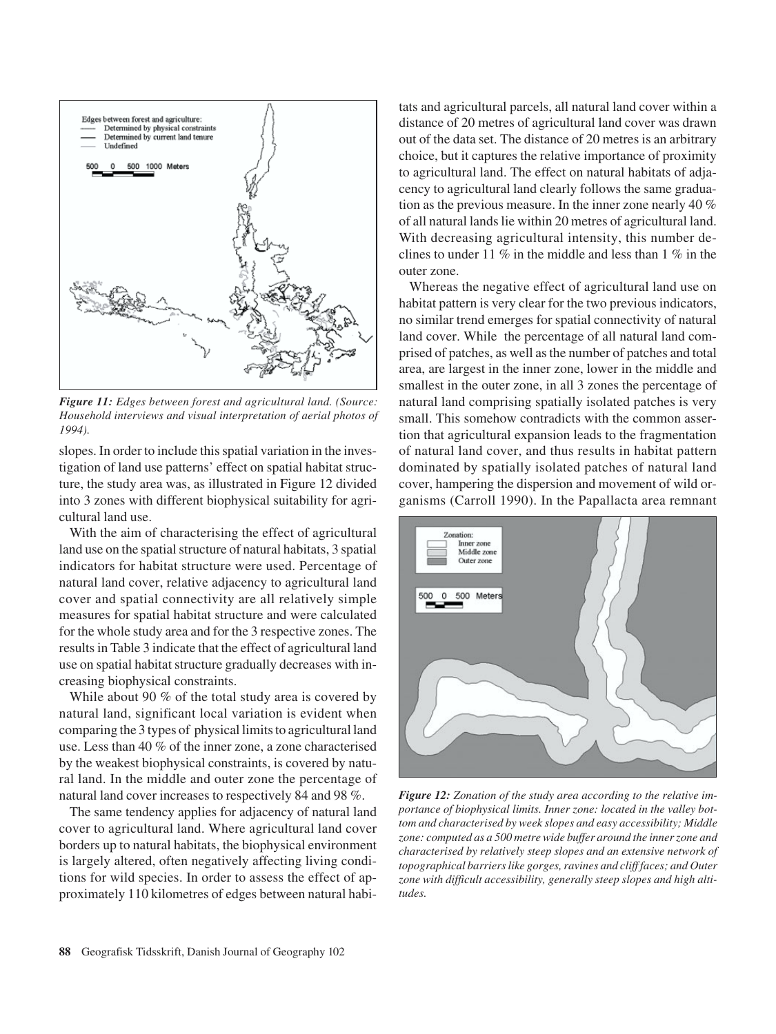

*Figure 11: Edges between forest and agricultural land. (Source: Household interviews and visual interpretation of aerial photos of 1994).*

slopes. In order to include this spatial variation in the investigation of land use patterns' effect on spatial habitat structure, the study area was, as illustrated in Figure 12 divided into 3 zones with different biophysical suitability for agricultural land use.

With the aim of characterising the effect of agricultural land use on the spatial structure of natural habitats, 3 spatial indicators for habitat structure were used. Percentage of natural land cover, relative adjacency to agricultural land cover and spatial connectivity are all relatively simple measures for spatial habitat structure and were calculated for the whole study area and for the 3 respective zones. The results in Table 3 indicate that the effect of agricultural land use on spatial habitat structure gradually decreases with increasing biophysical constraints.

While about 90 % of the total study area is covered by natural land, significant local variation is evident when comparing the 3 types of physical limits to agricultural land use. Less than 40 % of the inner zone, a zone characterised by the weakest biophysical constraints, is covered by natural land. In the middle and outer zone the percentage of natural land cover increases to respectively 84 and 98 %.

The same tendency applies for adjacency of natural land cover to agricultural land. Where agricultural land cover borders up to natural habitats, the biophysical environment is largely altered, often negatively affecting living conditions for wild species. In order to assess the effect of approximately 110 kilometres of edges between natural habitats and agricultural parcels, all natural land cover within a distance of 20 metres of agricultural land cover was drawn out of the data set. The distance of 20 metres is an arbitrary choice, but it captures the relative importance of proximity to agricultural land. The effect on natural habitats of adjacency to agricultural land clearly follows the same graduation as the previous measure. In the inner zone nearly 40 % of all natural lands lie within 20 metres of agricultural land. With decreasing agricultural intensity, this number declines to under 11 % in the middle and less than 1 % in the outer zone.

Whereas the negative effect of agricultural land use on habitat pattern is very clear for the two previous indicators, no similar trend emerges for spatial connectivity of natural land cover. While the percentage of all natural land comprised of patches, as well as the number of patches and total area, are largest in the inner zone, lower in the middle and smallest in the outer zone, in all 3 zones the percentage of natural land comprising spatially isolated patches is very small. This somehow contradicts with the common assertion that agricultural expansion leads to the fragmentation of natural land cover, and thus results in habitat pattern dominated by spatially isolated patches of natural land cover, hampering the dispersion and movement of wild organisms (Carroll 1990). In the Papallacta area remnant



*Figure 12: Zonation of the study area according to the relative importance of biophysical limits. Inner zone: located in the valley bottom and characterised by week slopes and easy accessibility; Middle zone: computed as a 500 metre wide buffer around the inner zone and characterised by relatively steep slopes and an extensive network of topographical barriers like gorges, ravines and cliff faces; and Outer zone with difficult accessibility, generally steep slopes and high altitudes.*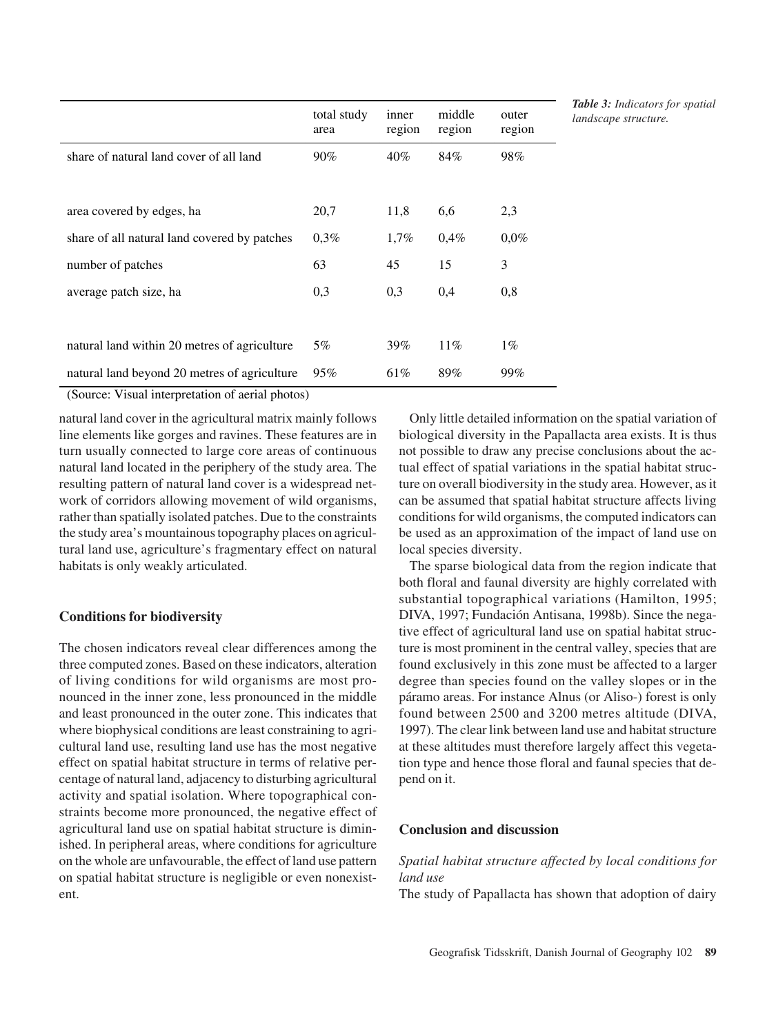|                                              | total study<br>area | inner<br>region | middle<br>region | outer<br>region |
|----------------------------------------------|---------------------|-----------------|------------------|-----------------|
| share of natural land cover of all land      | $90\%$              | $40\%$          | 84%              | 98%             |
|                                              |                     |                 |                  |                 |
| area covered by edges, ha                    | 20,7                | 11,8            | 6,6              | 2,3             |
| share of all natural land covered by patches | 0,3%                | 1,7%            | 0,4%             | $0.0\%$         |
| number of patches                            | 63                  | 45              | 15               | 3               |
| average patch size, ha                       | 0,3                 | 0,3             | 0,4              | 0,8             |
|                                              |                     |                 |                  |                 |
| natural land within 20 metres of agriculture | 5%                  | 39%             | $11\%$           | $1\%$           |
| natural land beyond 20 metres of agriculture | 95%                 | 61%             | 89%              | 99%             |

*Table 3: Indicators for spatial landscape structure.*

(Source: Visual interpretation of aerial photos)

natural land cover in the agricultural matrix mainly follows line elements like gorges and ravines. These features are in turn usually connected to large core areas of continuous natural land located in the periphery of the study area. The resulting pattern of natural land cover is a widespread network of corridors allowing movement of wild organisms, rather than spatially isolated patches. Due to the constraints the study area's mountainous topography places on agricultural land use, agriculture's fragmentary effect on natural habitats is only weakly articulated.

# **Conditions for biodiversity**

The chosen indicators reveal clear differences among the three computed zones. Based on these indicators, alteration of living conditions for wild organisms are most pronounced in the inner zone, less pronounced in the middle and least pronounced in the outer zone. This indicates that where biophysical conditions are least constraining to agricultural land use, resulting land use has the most negative effect on spatial habitat structure in terms of relative percentage of natural land, adjacency to disturbing agricultural activity and spatial isolation. Where topographical constraints become more pronounced, the negative effect of agricultural land use on spatial habitat structure is diminished. In peripheral areas, where conditions for agriculture on the whole are unfavourable, the effect of land use pattern on spatial habitat structure is negligible or even nonexistent.

Only little detailed information on the spatial variation of biological diversity in the Papallacta area exists. It is thus not possible to draw any precise conclusions about the actual effect of spatial variations in the spatial habitat structure on overall biodiversity in the study area. However, as it can be assumed that spatial habitat structure affects living conditions for wild organisms, the computed indicators can be used as an approximation of the impact of land use on local species diversity.

The sparse biological data from the region indicate that both floral and faunal diversity are highly correlated with substantial topographical variations (Hamilton, 1995; DIVA, 1997; Fundación Antisana, 1998b). Since the negative effect of agricultural land use on spatial habitat structure is most prominent in the central valley, species that are found exclusively in this zone must be affected to a larger degree than species found on the valley slopes or in the páramo areas. For instance Alnus (or Aliso-) forest is only found between 2500 and 3200 metres altitude (DIVA, 1997). The clear link between land use and habitat structure at these altitudes must therefore largely affect this vegetation type and hence those floral and faunal species that depend on it.

# **Conclusion and discussion**

# *Spatial habitat structure affected by local conditions for land use*

The study of Papallacta has shown that adoption of dairy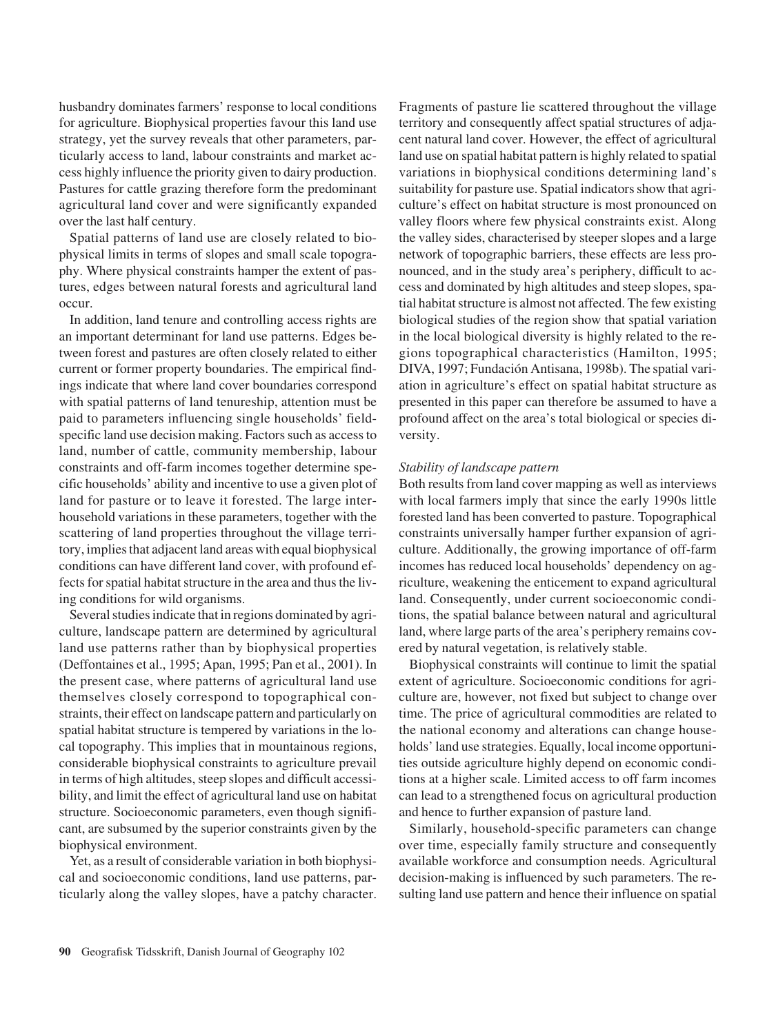husbandry dominates farmers' response to local conditions for agriculture. Biophysical properties favour this land use strategy, yet the survey reveals that other parameters, particularly access to land, labour constraints and market access highly influence the priority given to dairy production. Pastures for cattle grazing therefore form the predominant agricultural land cover and were significantly expanded over the last half century.

Spatial patterns of land use are closely related to biophysical limits in terms of slopes and small scale topography. Where physical constraints hamper the extent of pastures, edges between natural forests and agricultural land occur.

In addition, land tenure and controlling access rights are an important determinant for land use patterns. Edges between forest and pastures are often closely related to either current or former property boundaries. The empirical findings indicate that where land cover boundaries correspond with spatial patterns of land tenureship, attention must be paid to parameters influencing single households' fieldspecific land use decision making. Factors such as access to land, number of cattle, community membership, labour constraints and off-farm incomes together determine specific households' ability and incentive to use a given plot of land for pasture or to leave it forested. The large interhousehold variations in these parameters, together with the scattering of land properties throughout the village territory, implies that adjacent land areas with equal biophysical conditions can have different land cover, with profound effects for spatial habitat structure in the area and thus the living conditions for wild organisms.

Several studies indicate that in regions dominated by agriculture, landscape pattern are determined by agricultural land use patterns rather than by biophysical properties (Deffontaines et al., 1995; Apan, 1995; Pan et al., 2001). In the present case, where patterns of agricultural land use themselves closely correspond to topographical constraints, their effect on landscape pattern and particularly on spatial habitat structure is tempered by variations in the local topography. This implies that in mountainous regions, considerable biophysical constraints to agriculture prevail in terms of high altitudes, steep slopes and difficult accessibility, and limit the effect of agricultural land use on habitat structure. Socioeconomic parameters, even though significant, are subsumed by the superior constraints given by the biophysical environment.

Yet, as a result of considerable variation in both biophysical and socioeconomic conditions, land use patterns, particularly along the valley slopes, have a patchy character. Fragments of pasture lie scattered throughout the village territory and consequently affect spatial structures of adjacent natural land cover. However, the effect of agricultural land use on spatial habitat pattern is highly related to spatial variations in biophysical conditions determining land's suitability for pasture use. Spatial indicators show that agriculture's effect on habitat structure is most pronounced on valley floors where few physical constraints exist. Along the valley sides, characterised by steeper slopes and a large network of topographic barriers, these effects are less pronounced, and in the study area's periphery, difficult to access and dominated by high altitudes and steep slopes, spatial habitat structure is almost not affected. The few existing biological studies of the region show that spatial variation in the local biological diversity is highly related to the regions topographical characteristics (Hamilton, 1995; DIVA, 1997; Fundación Antisana, 1998b). The spatial variation in agriculture's effect on spatial habitat structure as presented in this paper can therefore be assumed to have a profound affect on the area's total biological or species diversity.

#### *Stability of landscape pattern*

Both results from land cover mapping as well as interviews with local farmers imply that since the early 1990s little forested land has been converted to pasture. Topographical constraints universally hamper further expansion of agriculture. Additionally, the growing importance of off-farm incomes has reduced local households' dependency on agriculture, weakening the enticement to expand agricultural land. Consequently, under current socioeconomic conditions, the spatial balance between natural and agricultural land, where large parts of the area's periphery remains covered by natural vegetation, is relatively stable.

Biophysical constraints will continue to limit the spatial extent of agriculture. Socioeconomic conditions for agriculture are, however, not fixed but subject to change over time. The price of agricultural commodities are related to the national economy and alterations can change households' land use strategies. Equally, local income opportunities outside agriculture highly depend on economic conditions at a higher scale. Limited access to off farm incomes can lead to a strengthened focus on agricultural production and hence to further expansion of pasture land.

Similarly, household-specific parameters can change over time, especially family structure and consequently available workforce and consumption needs. Agricultural decision-making is influenced by such parameters. The resulting land use pattern and hence their influence on spatial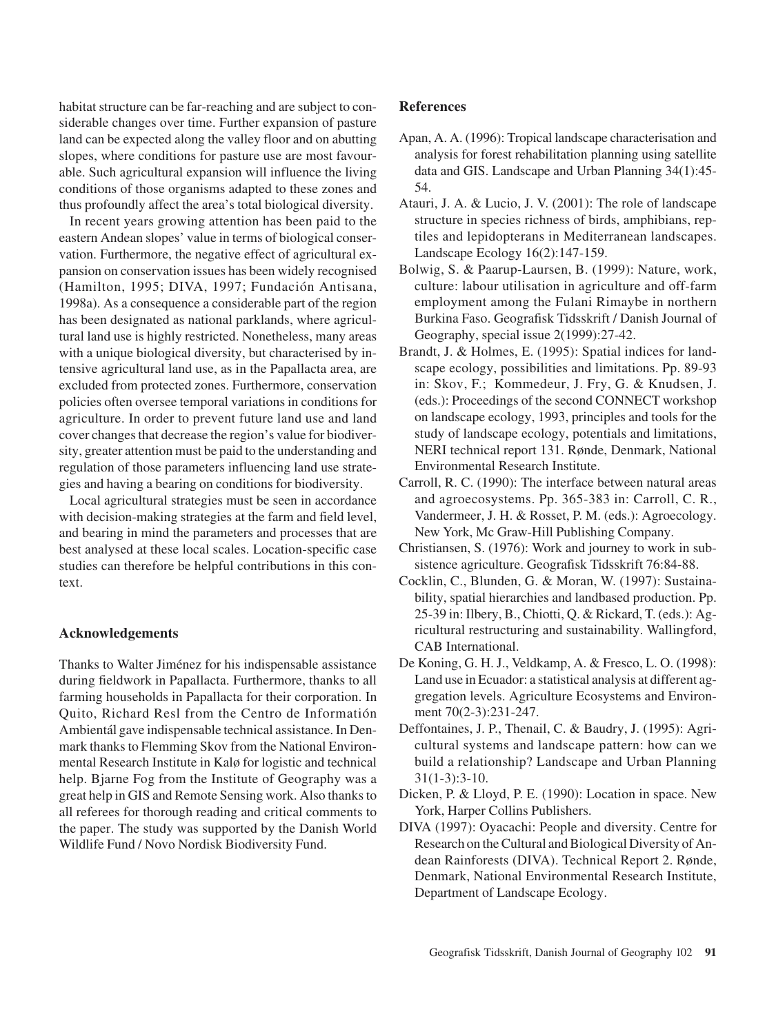habitat structure can be far-reaching and are subject to considerable changes over time. Further expansion of pasture land can be expected along the valley floor and on abutting slopes, where conditions for pasture use are most favourable. Such agricultural expansion will influence the living conditions of those organisms adapted to these zones and thus profoundly affect the area's total biological diversity.

In recent years growing attention has been paid to the eastern Andean slopes' value in terms of biological conservation. Furthermore, the negative effect of agricultural expansion on conservation issues has been widely recognised (Hamilton, 1995; DIVA, 1997; Fundación Antisana, 1998a). As a consequence a considerable part of the region has been designated as national parklands, where agricultural land use is highly restricted. Nonetheless, many areas with a unique biological diversity, but characterised by intensive agricultural land use, as in the Papallacta area, are excluded from protected zones. Furthermore, conservation policies often oversee temporal variations in conditions for agriculture. In order to prevent future land use and land cover changes that decrease the region's value for biodiversity, greater attention must be paid to the understanding and regulation of those parameters influencing land use strategies and having a bearing on conditions for biodiversity.

Local agricultural strategies must be seen in accordance with decision-making strategies at the farm and field level, and bearing in mind the parameters and processes that are best analysed at these local scales. Location-specific case studies can therefore be helpful contributions in this context.

## **Acknowledgements**

Thanks to Walter Jiménez for his indispensable assistance during fieldwork in Papallacta. Furthermore, thanks to all farming households in Papallacta for their corporation. In Quito, Richard Resl from the Centro de Informatión Ambientál gave indispensable technical assistance. In Denmark thanks to Flemming Skov from the National Environmental Research Institute in Kalø for logistic and technical help. Bjarne Fog from the Institute of Geography was a great help in GIS and Remote Sensing work. Also thanks to all referees for thorough reading and critical comments to the paper. The study was supported by the Danish World Wildlife Fund / Novo Nordisk Biodiversity Fund.

## **References**

- Apan, A. A. (1996): Tropical landscape characterisation and analysis for forest rehabilitation planning using satellite data and GIS. Landscape and Urban Planning 34(1):45- 54.
- Atauri, J. A. & Lucio, J. V. (2001): The role of landscape structure in species richness of birds, amphibians, reptiles and lepidopterans in Mediterranean landscapes. Landscape Ecology 16(2):147-159.
- Bolwig, S. & Paarup-Laursen, B. (1999): Nature, work, culture: labour utilisation in agriculture and off-farm employment among the Fulani Rimaybe in northern Burkina Faso. Geografisk Tidsskrift / Danish Journal of Geography, special issue 2(1999):27-42.
- Brandt, J. & Holmes, E. (1995): Spatial indices for landscape ecology, possibilities and limitations. Pp. 89-93 in: Skov, F.; Kommedeur, J. Fry, G. & Knudsen, J. (eds.): Proceedings of the second CONNECT workshop on landscape ecology, 1993, principles and tools for the study of landscape ecology, potentials and limitations, NERI technical report 131. Rønde, Denmark, National Environmental Research Institute.
- Carroll, R. C. (1990): The interface between natural areas and agroecosystems. Pp. 365-383 in: Carroll, C. R., Vandermeer, J. H. & Rosset, P. M. (eds.): Agroecology. New York, Mc Graw-Hill Publishing Company.
- Christiansen, S. (1976): Work and journey to work in subsistence agriculture. Geografisk Tidsskrift 76:84-88.
- Cocklin, C., Blunden, G. & Moran, W. (1997): Sustainability, spatial hierarchies and landbased production. Pp. 25-39 in: Ilbery, B., Chiotti, Q. & Rickard, T. (eds.): Agricultural restructuring and sustainability. Wallingford, CAB International.
- De Koning, G. H. J., Veldkamp, A. & Fresco, L. O. (1998): Land use in Ecuador: a statistical analysis at different aggregation levels. Agriculture Ecosystems and Environment 70(2-3):231-247.
- Deffontaines, J. P., Thenail, C. & Baudry, J. (1995): Agricultural systems and landscape pattern: how can we build a relationship? Landscape and Urban Planning 31(1-3):3-10.
- Dicken, P. & Lloyd, P. E. (1990): Location in space. New York, Harper Collins Publishers.
- DIVA (1997): Oyacachi: People and diversity. Centre for Research on the Cultural and Biological Diversity of Andean Rainforests (DIVA). Technical Report 2. Rønde, Denmark, National Environmental Research Institute, Department of Landscape Ecology.